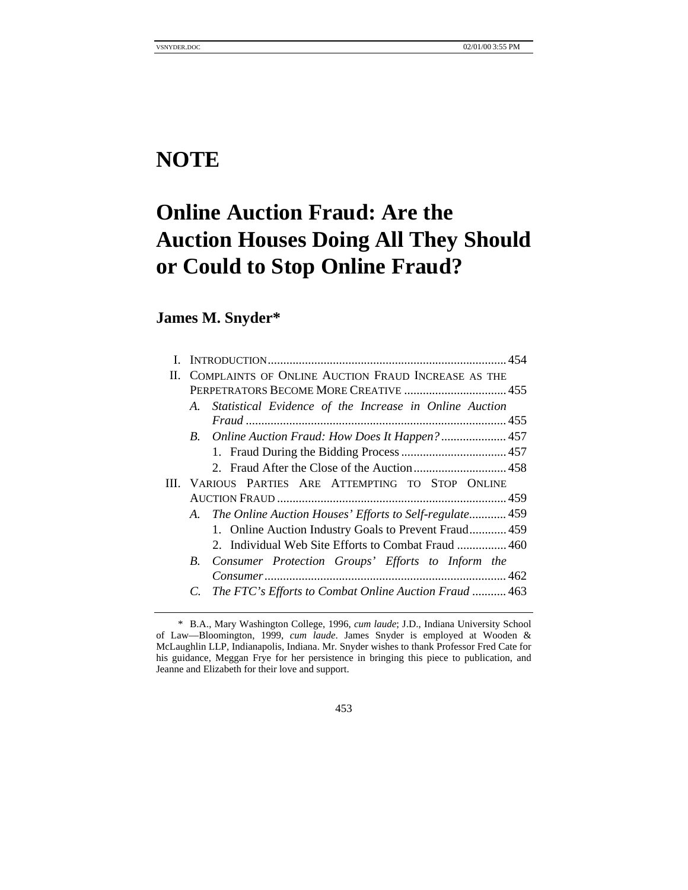# **NOTE**

# **Online Auction Fraud: Are the Auction Houses Doing All They Should or Could to Stop Online Fraud?**

# **James M. Snyder\***

| L  |                                                             |  |
|----|-------------------------------------------------------------|--|
| Н. | COMPLAINTS OF ONLINE AUCTION FRAUD INCREASE AS THE          |  |
|    | PERPETRATORS BECOME MORE CREATIVE  455                      |  |
|    | A. Statistical Evidence of the Increase in Online Auction   |  |
|    |                                                             |  |
|    |                                                             |  |
|    |                                                             |  |
|    |                                                             |  |
|    | III. VARIOUS PARTIES ARE ATTEMPTING TO STOP ONLINE          |  |
|    |                                                             |  |
|    | A. The Online Auction Houses' Efforts to Self-regulate 459  |  |
|    | 1. Online Auction Industry Goals to Prevent Fraud 459       |  |
|    | 2. Individual Web Site Efforts to Combat Fraud  460         |  |
|    | B. Consumer Protection Groups' Efforts to Inform the        |  |
|    |                                                             |  |
|    | The FTC's Efforts to Combat Online Auction Fraud  463<br>C. |  |
|    |                                                             |  |

453

<sup>\*</sup> B.A., Mary Washington College, 1996, *cum laude*; J.D., Indiana University School of Law—Bloomington, 1999, *cum laude*. James Snyder is employed at Wooden & McLaughlin LLP, Indianapolis, Indiana. Mr. Snyder wishes to thank Professor Fred Cate for his guidance, Meggan Frye for her persistence in bringing this piece to publication, and Jeanne and Elizabeth for their love and support.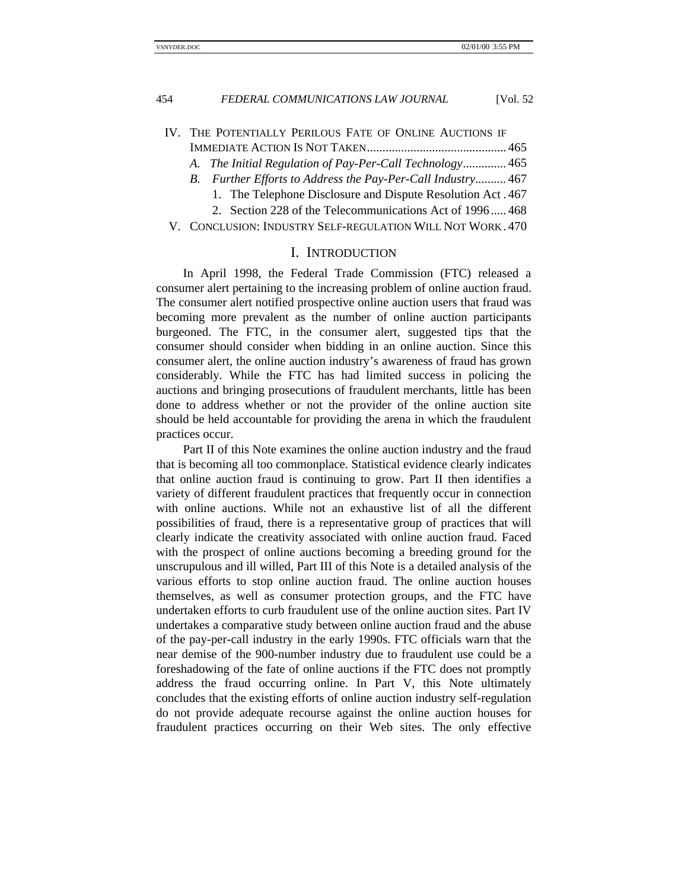- IV. THE POTENTIALLY PERILOUS FATE OF ONLINE AUCTIONS IF IMMEDIATE ACTION IS NOT TAKEN............................................. 465
	- *A. The Initial Regulation of Pay-Per-Call Technology..............* 465
	- *B. Further Efforts to Address the Pay-Per-Call Industry..........* 467
		- 1. The Telephone Disclosure and Dispute Resolution Act . 467
		- 2. Section 228 of the Telecommunications Act of 1996 ..... 468
- V. CONCLUSION: INDUSTRY SELF-REGULATION WILL NOT WORK . 470

# I. INTRODUCTION

In April 1998, the Federal Trade Commission (FTC) released a consumer alert pertaining to the increasing problem of online auction fraud. The consumer alert notified prospective online auction users that fraud was becoming more prevalent as the number of online auction participants burgeoned. The FTC, in the consumer alert, suggested tips that the consumer should consider when bidding in an online auction. Since this consumer alert, the online auction industry's awareness of fraud has grown considerably. While the FTC has had limited success in policing the auctions and bringing prosecutions of fraudulent merchants, little has been done to address whether or not the provider of the online auction site should be held accountable for providing the arena in which the fraudulent practices occur.

Part II of this Note examines the online auction industry and the fraud that is becoming all too commonplace. Statistical evidence clearly indicates that online auction fraud is continuing to grow. Part II then identifies a variety of different fraudulent practices that frequently occur in connection with online auctions. While not an exhaustive list of all the different possibilities of fraud, there is a representative group of practices that will clearly indicate the creativity associated with online auction fraud. Faced with the prospect of online auctions becoming a breeding ground for the unscrupulous and ill willed, Part III of this Note is a detailed analysis of the various efforts to stop online auction fraud. The online auction houses themselves, as well as consumer protection groups, and the FTC have undertaken efforts to curb fraudulent use of the online auction sites. Part IV undertakes a comparative study between online auction fraud and the abuse of the pay-per-call industry in the early 1990s. FTC officials warn that the near demise of the 900-number industry due to fraudulent use could be a foreshadowing of the fate of online auctions if the FTC does not promptly address the fraud occurring online. In Part V, this Note ultimately concludes that the existing efforts of online auction industry self-regulation do not provide adequate recourse against the online auction houses for fraudulent practices occurring on their Web sites. The only effective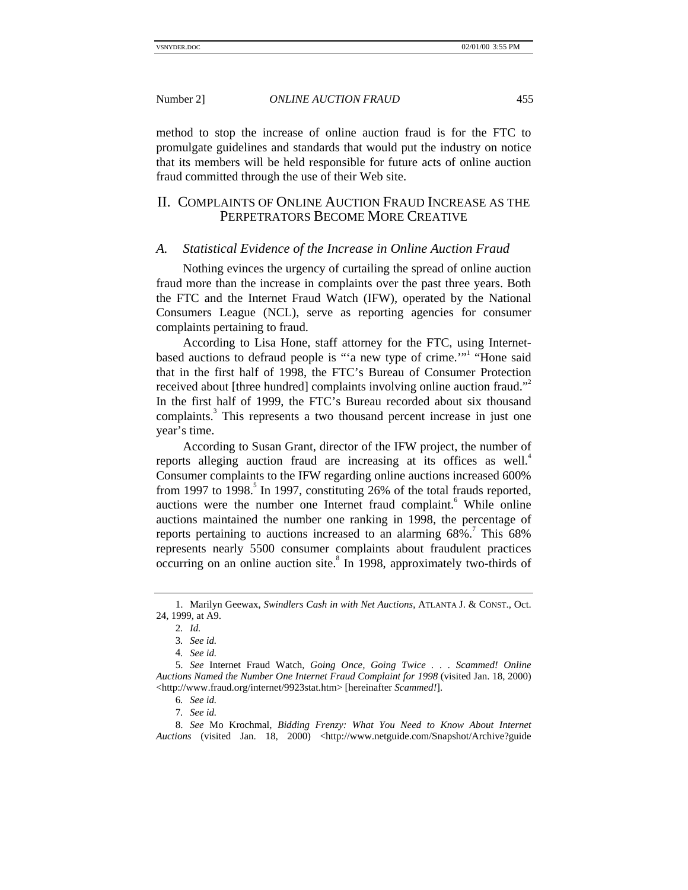method to stop the increase of online auction fraud is for the FTC to promulgate guidelines and standards that would put the industry on notice that its members will be held responsible for future acts of online auction fraud committed through the use of their Web site.

# II. COMPLAINTS OF ONLINE AUCTION FRAUD INCREASE AS THE PERPETRATORS BECOME MORE CREATIVE

#### *A. Statistical Evidence of the Increase in Online Auction Fraud*

Nothing evinces the urgency of curtailing the spread of online auction fraud more than the increase in complaints over the past three years. Both the FTC and the Internet Fraud Watch (IFW), operated by the National Consumers League (NCL), serve as reporting agencies for consumer complaints pertaining to fraud.

According to Lisa Hone, staff attorney for the FTC, using Internetbased auctions to defraud people is "'a new type of crime.'" "Hone said that in the first half of 1998, the FTC's Bureau of Consumer Protection received about [three hundred] complaints involving online auction fraud."<sup>2</sup> In the first half of 1999, the FTC's Bureau recorded about six thousand complaints.<sup>3</sup> This represents a two thousand percent increase in just one year's time.

According to Susan Grant, director of the IFW project, the number of reports alleging auction fraud are increasing at its offices as well.<sup>4</sup> Consumer complaints to the IFW regarding online auctions increased 600% from 1997 to 1998.<sup>5</sup> In 1997, constituting  $26\%$  of the total frauds reported, auctions were the number one Internet fraud complaint.<sup>6</sup> While online auctions maintained the number one ranking in 1998, the percentage of reports pertaining to auctions increased to an alarming  $68\%$ .<sup>7</sup> This  $68\%$ represents nearly 5500 consumer complaints about fraudulent practices occurring on an online auction site.<sup>8</sup> In 1998, approximately two-thirds of

<sup>1.</sup> Marilyn Geewax, *Swindlers Cash in with Net Auctions*, ATLANTA J. & CONST., Oct. 24, 1999, at A9.

<sup>2</sup>*. Id.*

<sup>3</sup>*. See id.*

<sup>4</sup>*. See id.*

<sup>5.</sup> *See* Internet Fraud Watch, *Going Once, Going Twice . . . Scammed! Online Auctions Named the Number One Internet Fraud Complaint for 1998* (visited Jan. 18, 2000) <http://www.fraud.org/internet/9923stat.htm> [hereinafter *Scammed!*].

<sup>6</sup>*. See id.*

<sup>7</sup>*. See id.*

<sup>8.</sup> *See* Mo Krochmal, *Bidding Frenzy: What You Need to Know About Internet* Auctions (visited Jan. 18, 2000) <http://www.netguide.com/Snapshot/Archive?guide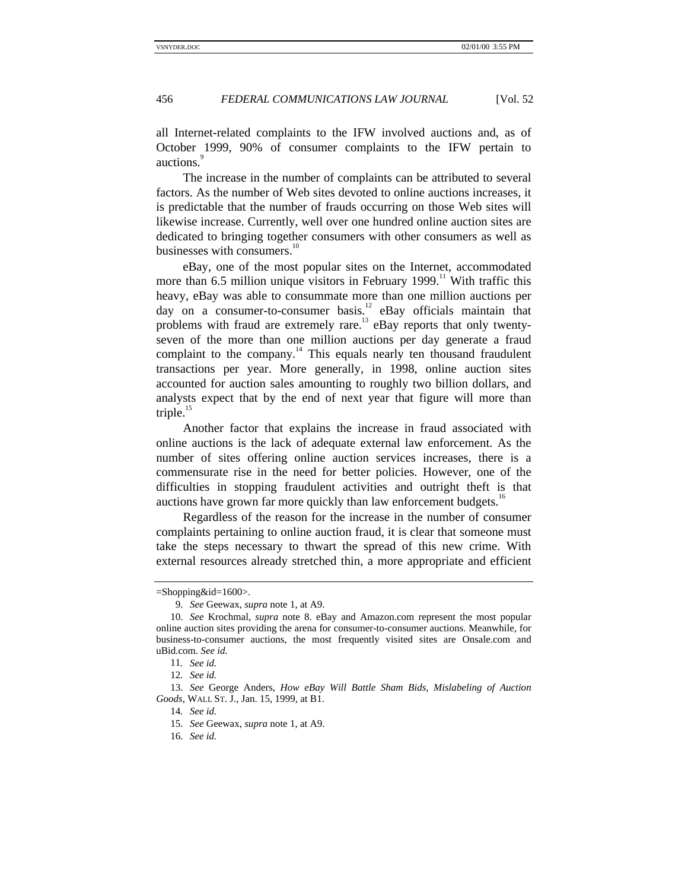all Internet-related complaints to the IFW involved auctions and, as of October 1999, 90% of consumer complaints to the IFW pertain to auctions.

The increase in the number of complaints can be attributed to several factors. As the number of Web sites devoted to online auctions increases, it is predictable that the number of frauds occurring on those Web sites will likewise increase. Currently, well over one hundred online auction sites are dedicated to bringing together consumers with other consumers as well as businesses with consumers.<sup>10</sup>

eBay, one of the most popular sites on the Internet, accommodated more than 6.5 million unique visitors in February 1999.<sup>11</sup> With traffic this heavy, eBay was able to consummate more than one million auctions per day on a consumer-to-consumer basis.<sup>12</sup> eBay officials maintain that problems with fraud are extremely rare.<sup>13</sup> eBay reports that only twentyseven of the more than one million auctions per day generate a fraud complaint to the company.<sup>14</sup> This equals nearly ten thousand fraudulent transactions per year. More generally, in 1998, online auction sites accounted for auction sales amounting to roughly two billion dollars, and analysts expect that by the end of next year that figure will more than triple. $15$ 

Another factor that explains the increase in fraud associated with online auctions is the lack of adequate external law enforcement. As the number of sites offering online auction services increases, there is a commensurate rise in the need for better policies. However, one of the difficulties in stopping fraudulent activities and outright theft is that auctions have grown far more quickly than law enforcement budgets.<sup>16</sup>

Regardless of the reason for the increase in the number of consumer complaints pertaining to online auction fraud, it is clear that someone must take the steps necessary to thwart the spread of this new crime. With external resources already stretched thin, a more appropriate and efficient

<sup>=</sup>Shopping&id=1600>.

<sup>9.</sup> *See* Geewax, *supra* note 1, at A9.

<sup>10.</sup> *See* Krochmal, *supra* note 8. eBay and Amazon.com represent the most popular online auction sites providing the arena for consumer-to-consumer auctions. Meanwhile, for business-to-consumer auctions, the most frequently visited sites are Onsale.com and uBid.com. *See id.*

<sup>11</sup>*. See id.*

<sup>12</sup>*. See id.*

<sup>13.</sup> *See* George Anders, *How eBay Will Battle Sham Bids, Mislabeling of Auction Goods*, WALL ST. J., Jan. 15, 1999, at B1.

<sup>14</sup>*. See id.*

<sup>15.</sup> *See* Geewax, *supra* note 1, at A9.

<sup>16</sup>*. See id.*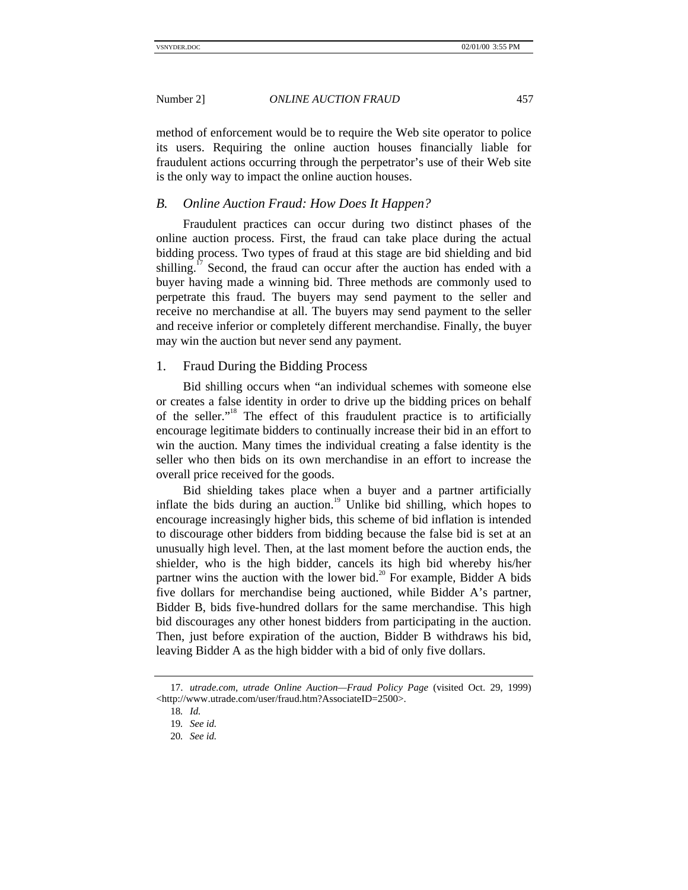method of enforcement would be to require the Web site operator to police its users. Requiring the online auction houses financially liable for fraudulent actions occurring through the perpetrator's use of their Web site is the only way to impact the online auction houses.

#### *B. Online Auction Fraud: How Does It Happen?*

Fraudulent practices can occur during two distinct phases of the online auction process. First, the fraud can take place during the actual bidding process. Two types of fraud at this stage are bid shielding and bid shilling.<sup>17</sup> Second, the fraud can occur after the auction has ended with a buyer having made a winning bid. Three methods are commonly used to perpetrate this fraud. The buyers may send payment to the seller and receive no merchandise at all. The buyers may send payment to the seller and receive inferior or completely different merchandise. Finally, the buyer may win the auction but never send any payment.

#### 1. Fraud During the Bidding Process

Bid shilling occurs when "an individual schemes with someone else or creates a false identity in order to drive up the bidding prices on behalf of the seller."<sup>18</sup> The effect of this fraudulent practice is to artificially encourage legitimate bidders to continually increase their bid in an effort to win the auction. Many times the individual creating a false identity is the seller who then bids on its own merchandise in an effort to increase the overall price received for the goods.

Bid shielding takes place when a buyer and a partner artificially inflate the bids during an auction.<sup>19</sup> Unlike bid shilling, which hopes to encourage increasingly higher bids, this scheme of bid inflation is intended to discourage other bidders from bidding because the false bid is set at an unusually high level. Then, at the last moment before the auction ends, the shielder, who is the high bidder, cancels its high bid whereby his/her partner wins the auction with the lower bid.<sup>20</sup> For example, Bidder A bids five dollars for merchandise being auctioned, while Bidder A's partner, Bidder B, bids five-hundred dollars for the same merchandise. This high bid discourages any other honest bidders from participating in the auction. Then, just before expiration of the auction, Bidder B withdraws his bid, leaving Bidder A as the high bidder with a bid of only five dollars.

<sup>17.</sup> *utrade.com, utrade Online Auction—Fraud Policy Page* (visited Oct. 29, 1999) <http://www.utrade.com/user/fraud.htm?AssociateID=2500>.

<sup>18</sup>*. Id.*

<sup>19</sup>*. See id.*

<sup>20</sup>*. See id.*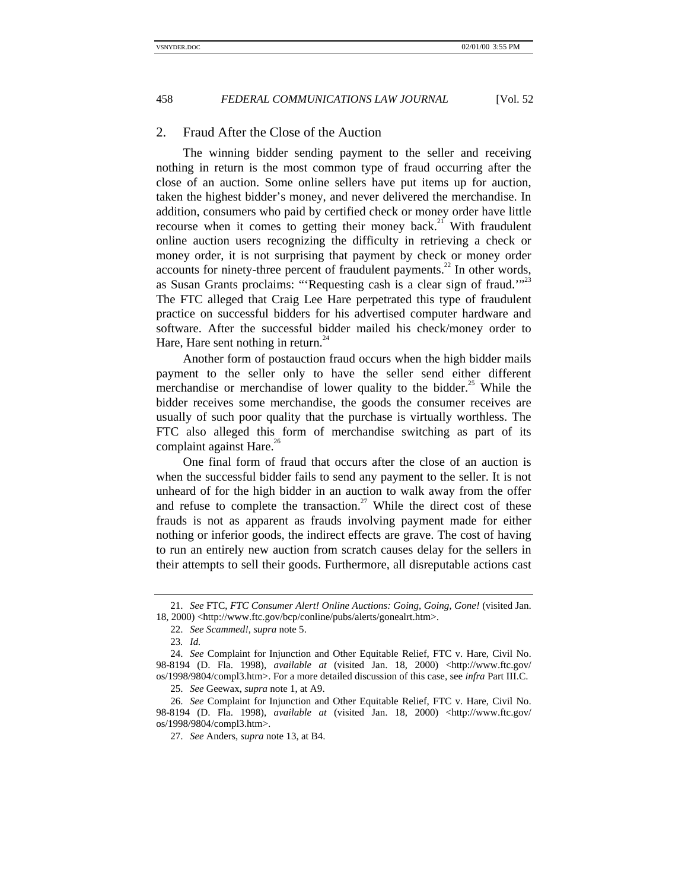#### 2. Fraud After the Close of the Auction

The winning bidder sending payment to the seller and receiving nothing in return is the most common type of fraud occurring after the close of an auction. Some online sellers have put items up for auction, taken the highest bidder's money, and never delivered the merchandise. In addition, consumers who paid by certified check or money order have little recourse when it comes to getting their money back.<sup>21</sup> With fraudulent online auction users recognizing the difficulty in retrieving a check or money order, it is not surprising that payment by check or money order accounts for ninety-three percent of fraudulent payments.<sup>22</sup> In other words, as Susan Grants proclaims: "'Requesting cash is a clear sign of fraud.'"<sup>23</sup> The FTC alleged that Craig Lee Hare perpetrated this type of fraudulent practice on successful bidders for his advertised computer hardware and software. After the successful bidder mailed his check/money order to Hare, Hare sent nothing in return. $^{24}$ 

Another form of postauction fraud occurs when the high bidder mails payment to the seller only to have the seller send either different merchandise or merchandise of lower quality to the bidder.<sup>25</sup> While the bidder receives some merchandise, the goods the consumer receives are usually of such poor quality that the purchase is virtually worthless. The FTC also alleged this form of merchandise switching as part of its complaint against Hare. $26$ 

One final form of fraud that occurs after the close of an auction is when the successful bidder fails to send any payment to the seller. It is not unheard of for the high bidder in an auction to walk away from the offer and refuse to complete the transaction.<sup>27</sup> While the direct cost of these frauds is not as apparent as frauds involving payment made for either nothing or inferior goods, the indirect effects are grave. The cost of having to run an entirely new auction from scratch causes delay for the sellers in their attempts to sell their goods. Furthermore, all disreputable actions cast

<sup>21.</sup> *See* FTC, *FTC Consumer Alert! Online Auctions: Going, Going, Gone!* (visited Jan. 18, 2000) <http://www.ftc.gov/bcp/conline/pubs/alerts/gonealrt.htm>.

<sup>22.</sup> *See Scammed!*, *supra* note 5.

<sup>23</sup>*. Id.*

<sup>24.</sup> *See* Complaint for Injunction and Other Equitable Relief, FTC v. Hare, Civil No. 98-8194 (D. Fla. 1998), *available at* (visited Jan. 18, 2000) <http://www.ftc.gov/ os/1998/9804/compl3.htm>. For a more detailed discussion of this case, see *infra* Part III.C.

<sup>25.</sup> *See* Geewax, *supra* note 1, at A9.

<sup>26.</sup> *See* Complaint for Injunction and Other Equitable Relief, FTC v. Hare, Civil No. 98-8194 (D. Fla. 1998), *available at* (visited Jan. 18, 2000) <http://www.ftc.gov/ os/1998/9804/compl3.htm>.

<sup>27.</sup> *See* Anders, *supra* note 13, at B4.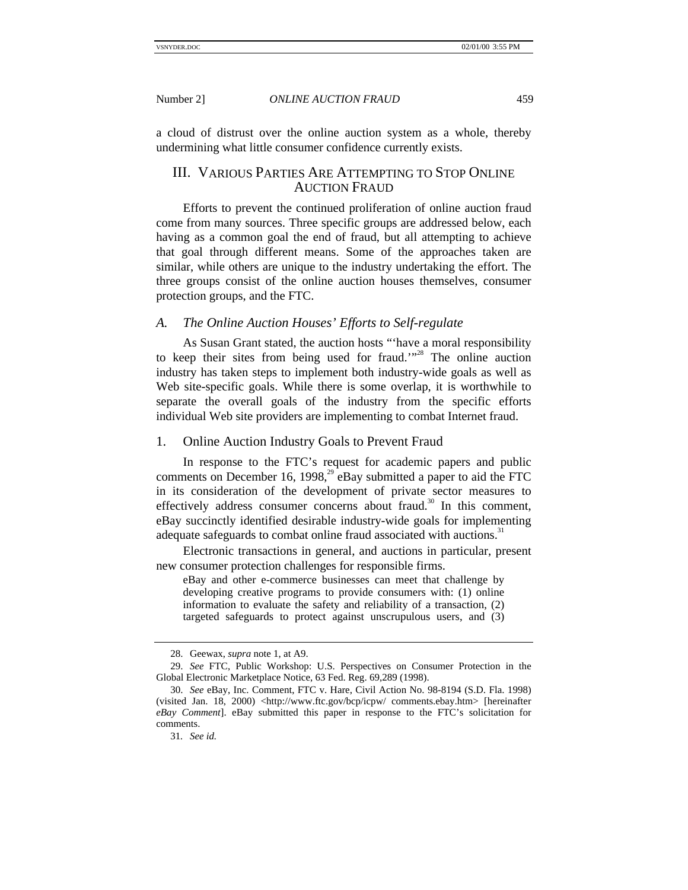a cloud of distrust over the online auction system as a whole, thereby undermining what little consumer confidence currently exists.

# III. VARIOUS PARTIES ARE ATTEMPTING TO STOP ONLINE AUCTION FRAUD

Efforts to prevent the continued proliferation of online auction fraud come from many sources. Three specific groups are addressed below, each having as a common goal the end of fraud, but all attempting to achieve that goal through different means. Some of the approaches taken are similar, while others are unique to the industry undertaking the effort. The three groups consist of the online auction houses themselves, consumer protection groups, and the FTC.

#### *A. The Online Auction Houses' Efforts to Self-regulate*

As Susan Grant stated, the auction hosts "'have a moral responsibility to keep their sites from being used for fraud."<sup>28</sup> The online auction industry has taken steps to implement both industry-wide goals as well as Web site-specific goals. While there is some overlap, it is worthwhile to separate the overall goals of the industry from the specific efforts individual Web site providers are implementing to combat Internet fraud.

#### 1. Online Auction Industry Goals to Prevent Fraud

In response to the FTC's request for academic papers and public comments on December 16, 1998, $^{29}$  eBay submitted a paper to aid the FTC in its consideration of the development of private sector measures to effectively address consumer concerns about fraud.<sup>30</sup> In this comment, eBay succinctly identified desirable industry-wide goals for implementing adequate safeguards to combat online fraud associated with auctions.<sup>31</sup>

Electronic transactions in general, and auctions in particular, present new consumer protection challenges for responsible firms.

eBay and other e-commerce businesses can meet that challenge by developing creative programs to provide consumers with: (1) online information to evaluate the safety and reliability of a transaction, (2) targeted safeguards to protect against unscrupulous users, and (3)

<sup>28.</sup> Geewax, *supra* note 1, at A9.

<sup>29.</sup> *See* FTC, Public Workshop: U.S. Perspectives on Consumer Protection in the Global Electronic Marketplace Notice, 63 Fed. Reg. 69,289 (1998).

<sup>30.</sup> *See* eBay, Inc. Comment, FTC v. Hare, Civil Action No. 98-8194 (S.D. Fla. 1998) (visited Jan. 18, 2000) <http://www.ftc.gov/bcp/icpw/ comments.ebay.htm> [hereinafter *eBay Comment*]. eBay submitted this paper in response to the FTC's solicitation for comments.

<sup>31</sup>*. See id.*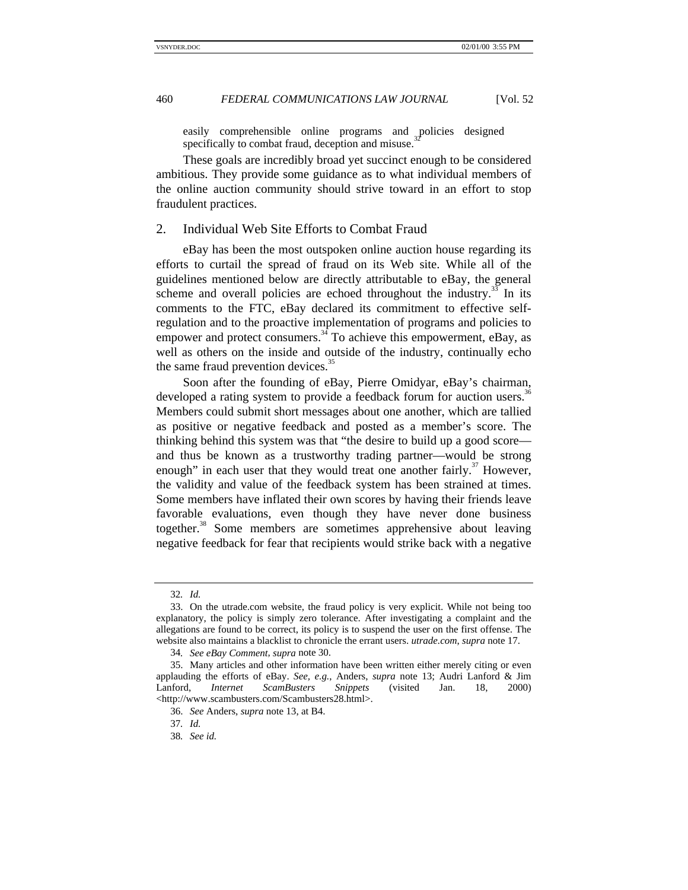easily comprehensible online programs and policies designed specifically to combat fraud, deception and misuse.

These goals are incredibly broad yet succinct enough to be considered ambitious. They provide some guidance as to what individual members of the online auction community should strive toward in an effort to stop fraudulent practices.

#### 2. Individual Web Site Efforts to Combat Fraud

eBay has been the most outspoken online auction house regarding its efforts to curtail the spread of fraud on its Web site. While all of the guidelines mentioned below are directly attributable to eBay, the general scheme and overall policies are echoed throughout the industry.<sup>33</sup> In its comments to the FTC, eBay declared its commitment to effective selfregulation and to the proactive implementation of programs and policies to empower and protect consumers. $34$  To achieve this empowerment, eBay, as well as others on the inside and outside of the industry, continually echo the same fraud prevention devices.<sup>3</sup>

Soon after the founding of eBay, Pierre Omidyar, eBay's chairman, developed a rating system to provide a feedback forum for auction users.<sup>36</sup> Members could submit short messages about one another, which are tallied as positive or negative feedback and posted as a member's score. The thinking behind this system was that "the desire to build up a good score and thus be known as a trustworthy trading partner—would be strong enough" in each user that they would treat one another fairly.<sup>37</sup> However, the validity and value of the feedback system has been strained at times. Some members have inflated their own scores by having their friends leave favorable evaluations, even though they have never done business together.<sup>38</sup> Some members are sometimes apprehensive about leaving negative feedback for fear that recipients would strike back with a negative

<sup>32</sup>*. Id.*

<sup>33.</sup> On the utrade.com website, the fraud policy is very explicit. While not being too explanatory, the policy is simply zero tolerance. After investigating a complaint and the allegations are found to be correct, its policy is to suspend the user on the first offense. The website also maintains a blacklist to chronicle the errant users. *utrade.com*, *supra* note 17.

<sup>34</sup>*. See eBay Comment*, *supra* note 30.

<sup>35.</sup> Many articles and other information have been written either merely citing or even applauding the efforts of eBay. *See, e.g.*, Anders, *supra* note 13; Audri Lanford & Jim Lanford, *Internet ScamBusters Snippets* (visited Jan. 18, 2000) <http://www.scambusters.com/Scambusters28.html>.

<sup>36.</sup> *See* Anders, *supra* note 13, at B4.

<sup>37</sup>*. Id.*

<sup>38</sup>*. See id.*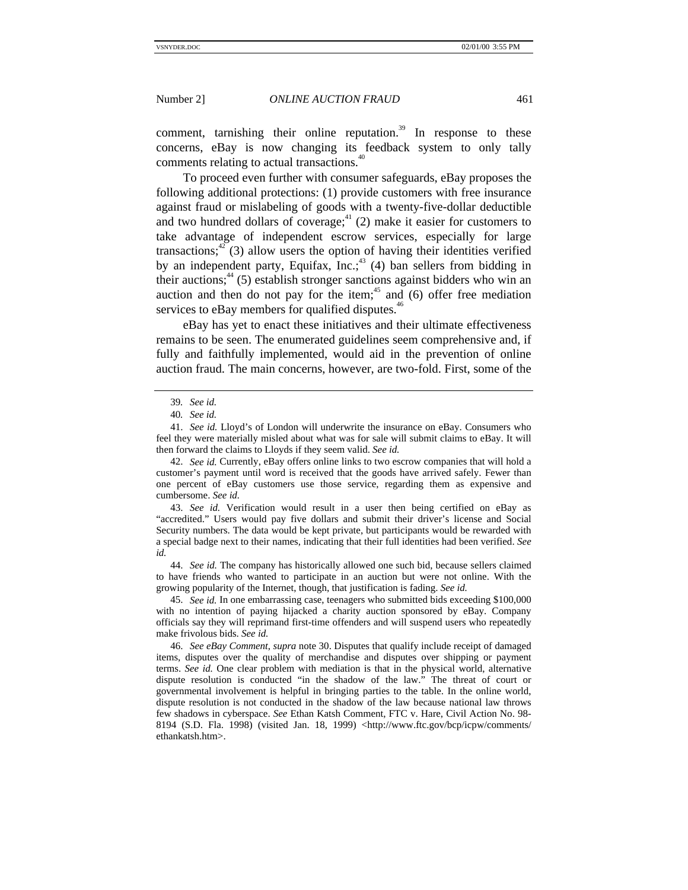comment, tarnishing their online reputation.<sup>39</sup> In response to these concerns, eBay is now changing its feedback system to only tally comments relating to actual transactions.<sup>40</sup>

To proceed even further with consumer safeguards, eBay proposes the following additional protections: (1) provide customers with free insurance against fraud or mislabeling of goods with a twenty-five-dollar deductible and two hundred dollars of coverage; $4^{4}$  (2) make it easier for customers to take advantage of independent escrow services, especially for large transactions; $42$ <sup>2</sup> (3) allow users the option of having their identities verified by an independent party, Equifax, Inc.;  $43$  (4) ban sellers from bidding in their auctions;<sup>44</sup> (5) establish stronger sanctions against bidders who win an auction and then do not pay for the item;<sup>45</sup> and (6) offer free mediation services to eBay members for qualified disputes.<sup>46</sup>

eBay has yet to enact these initiatives and their ultimate effectiveness remains to be seen. The enumerated guidelines seem comprehensive and, if fully and faithfully implemented, would aid in the prevention of online auction fraud. The main concerns, however, are two-fold. First, some of the

42. *See id.* Currently, eBay offers online links to two escrow companies that will hold a customer's payment until word is received that the goods have arrived safely. Fewer than one percent of eBay customers use those service, regarding them as expensive and cumbersome. *See id.*

43. *See id.* Verification would result in a user then being certified on eBay as "accredited." Users would pay five dollars and submit their driver's license and Social Security numbers. The data would be kept private, but participants would be rewarded with a special badge next to their names, indicating that their full identities had been verified. *See id.*

44. *See id.* The company has historically allowed one such bid, because sellers claimed to have friends who wanted to participate in an auction but were not online. With the growing popularity of the Internet, though, that justification is fading. *See id.*

45. *See id.* In one embarrassing case, teenagers who submitted bids exceeding \$100,000 with no intention of paying hijacked a charity auction sponsored by eBay. Company officials say they will reprimand first-time offenders and will suspend users who repeatedly make frivolous bids. *See id.*

46. *See eBay Comment*, *supra* note 30. Disputes that qualify include receipt of damaged items, disputes over the quality of merchandise and disputes over shipping or payment terms. *See id.* One clear problem with mediation is that in the physical world, alternative dispute resolution is conducted "in the shadow of the law." The threat of court or governmental involvement is helpful in bringing parties to the table. In the online world, dispute resolution is not conducted in the shadow of the law because national law throws few shadows in cyberspace. *See* Ethan Katsh Comment, FTC v. Hare, Civil Action No. 98- 8194 (S.D. Fla. 1998) (visited Jan. 18, 1999) <http://www.ftc.gov/bcp/icpw/comments/ ethankatsh.htm>.

<sup>39</sup>*. See id.*

<sup>40</sup>*. See id.*

<sup>41.</sup> *See id.* Lloyd's of London will underwrite the insurance on eBay. Consumers who feel they were materially misled about what was for sale will submit claims to eBay. It will then forward the claims to Lloyds if they seem valid. *See id.*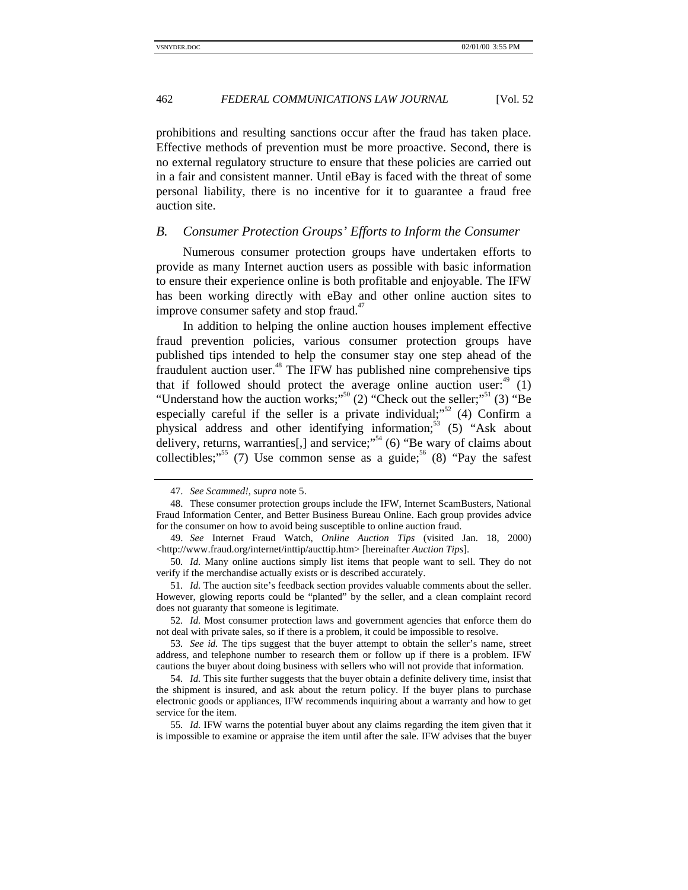prohibitions and resulting sanctions occur after the fraud has taken place. Effective methods of prevention must be more proactive. Second, there is no external regulatory structure to ensure that these policies are carried out in a fair and consistent manner. Until eBay is faced with the threat of some personal liability, there is no incentive for it to guarantee a fraud free auction site.

#### *B. Consumer Protection Groups' Efforts to Inform the Consumer*

Numerous consumer protection groups have undertaken efforts to provide as many Internet auction users as possible with basic information to ensure their experience online is both profitable and enjoyable. The IFW has been working directly with eBay and other online auction sites to improve consumer safety and stop fraud. $47$ 

In addition to helping the online auction houses implement effective fraud prevention policies, various consumer protection groups have published tips intended to help the consumer stay one step ahead of the fraudulent auction user.<sup>48</sup> The IFW has published nine comprehensive tips that if followed should protect the average online auction user: $49$  (1) "Understand how the auction works;"<sup>50</sup> (2) "Check out the seller;"<sup>51</sup> (3) "Be especially careful if the seller is a private individual;  $52$  (4) Confirm a physical address and other identifying information;<sup>53</sup> (5) "Ask about delivery, returns, warranties[,] and service;"<sup>54</sup> (6) "Be wary of claims about collectibles;"<sup>55</sup> (7) Use common sense as a guide;<sup>56</sup> (8) "Pay the safest

52*. Id.* Most consumer protection laws and government agencies that enforce them do not deal with private sales, so if there is a problem, it could be impossible to resolve.

<sup>47.</sup> *See Scammed!*, *supra* note 5.

<sup>48.</sup> These consumer protection groups include the IFW, Internet ScamBusters, National Fraud Information Center, and Better Business Bureau Online. Each group provides advice for the consumer on how to avoid being susceptible to online auction fraud.

<sup>49.</sup> *See* Internet Fraud Watch, *Online Auction Tips* (visited Jan. 18, 2000) <http://www.fraud.org/internet/inttip/aucttip.htm> [hereinafter *Auction Tips*].

<sup>50</sup>*. Id.* Many online auctions simply list items that people want to sell. They do not verify if the merchandise actually exists or is described accurately.

<sup>51</sup>*. Id.* The auction site's feedback section provides valuable comments about the seller. However, glowing reports could be "planted" by the seller, and a clean complaint record does not guaranty that someone is legitimate.

<sup>53</sup>*. See id.* The tips suggest that the buyer attempt to obtain the seller's name, street address, and telephone number to research them or follow up if there is a problem. IFW cautions the buyer about doing business with sellers who will not provide that information.

<sup>54</sup>*. Id.* This site further suggests that the buyer obtain a definite delivery time, insist that the shipment is insured, and ask about the return policy. If the buyer plans to purchase electronic goods or appliances, IFW recommends inquiring about a warranty and how to get service for the item.

<sup>55</sup>*. Id.* IFW warns the potential buyer about any claims regarding the item given that it is impossible to examine or appraise the item until after the sale. IFW advises that the buyer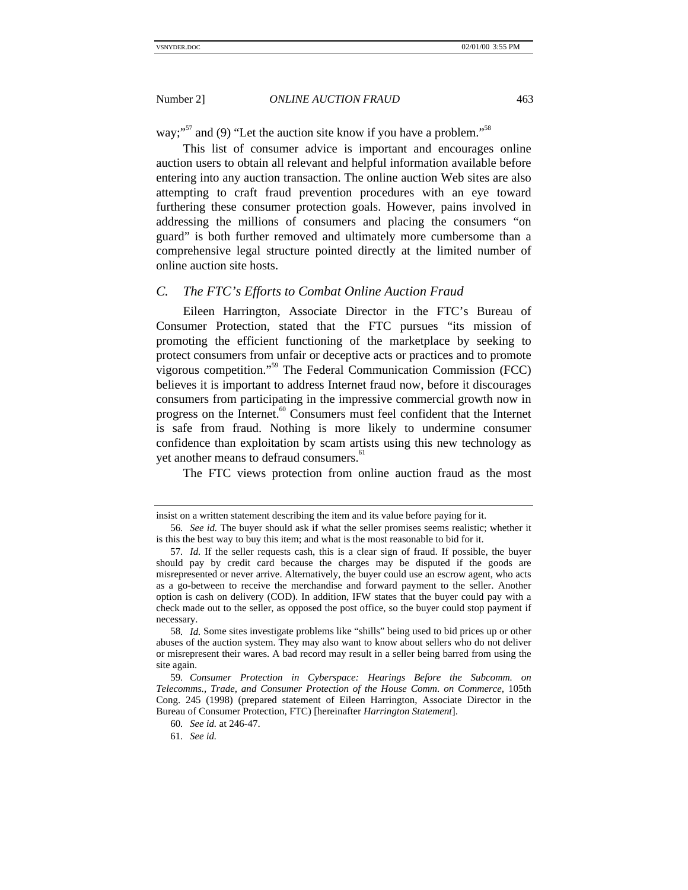way;"<sup>57</sup> and (9) "Let the auction site know if you have a problem."<sup>58</sup>

This list of consumer advice is important and encourages online auction users to obtain all relevant and helpful information available before entering into any auction transaction. The online auction Web sites are also attempting to craft fraud prevention procedures with an eye toward furthering these consumer protection goals. However, pains involved in addressing the millions of consumers and placing the consumers "on guard" is both further removed and ultimately more cumbersome than a comprehensive legal structure pointed directly at the limited number of online auction site hosts.

#### *C. The FTC's Efforts to Combat Online Auction Fraud*

Eileen Harrington, Associate Director in the FTC's Bureau of Consumer Protection, stated that the FTC pursues "its mission of promoting the efficient functioning of the marketplace by seeking to protect consumers from unfair or deceptive acts or practices and to promote vigorous competition." 59 The Federal Communication Commission (FCC) believes it is important to address Internet fraud now, before it discourages consumers from participating in the impressive commercial growth now in progress on the Internet.<sup>60</sup> Consumers must feel confident that the Internet is safe from fraud. Nothing is more likely to undermine consumer confidence than exploitation by scam artists using this new technology as yet another means to defraud consumers.<sup>61</sup>

The FTC views protection from online auction fraud as the most

insist on a written statement describing the item and its value before paying for it.

<sup>56</sup>*. See id.* The buyer should ask if what the seller promises seems realistic; whether it is this the best way to buy this item; and what is the most reasonable to bid for it.

<sup>57</sup>*. Id.* If the seller requests cash, this is a clear sign of fraud. If possible, the buyer should pay by credit card because the charges may be disputed if the goods are misrepresented or never arrive. Alternatively, the buyer could use an escrow agent, who acts as a go-between to receive the merchandise and forward payment to the seller. Another option is cash on delivery (COD). In addition, IFW states that the buyer could pay with a check made out to the seller, as opposed the post office, so the buyer could stop payment if necessary.

<sup>58</sup>*. Id.* Some sites investigate problems like "shills" being used to bid prices up or other abuses of the auction system. They may also want to know about sellers who do not deliver or misrepresent their wares. A bad record may result in a seller being barred from using the site again.

<sup>59</sup>*. Consumer Protection in Cyberspace: Hearings Before the Subcomm. on Telecomms., Trade, and Consumer Protection of the House Comm. on Commerce*, 105th Cong. 245 (1998) (prepared statement of Eileen Harrington, Associate Director in the Bureau of Consumer Protection, FTC) [hereinafter *Harrington Statement*].

<sup>60</sup>*. See id.* at 246-47.

<sup>61</sup>*. See id.*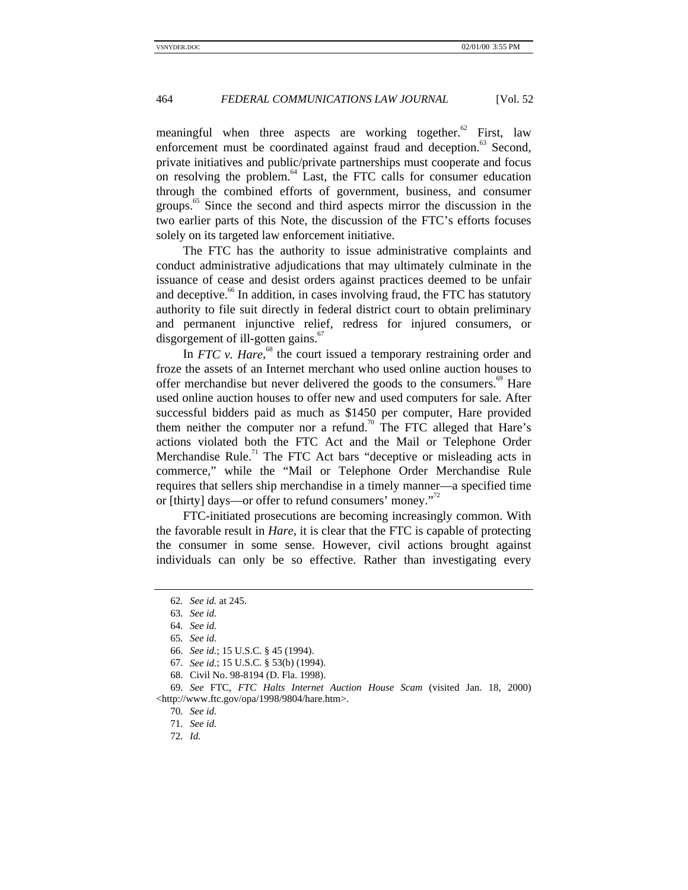meaningful when three aspects are working together.<sup>62</sup> First, law enforcement must be coordinated against fraud and deception.<sup>63</sup> Second, private initiatives and public/private partnerships must cooperate and focus on resolving the problem. $^{64}$  Last, the FTC calls for consumer education through the combined efforts of government, business, and consumer groups.<sup>65</sup> Since the second and third aspects mirror the discussion in the two earlier parts of this Note, the discussion of the FTC's efforts focuses solely on its targeted law enforcement initiative.

The FTC has the authority to issue administrative complaints and conduct administrative adjudications that may ultimately culminate in the issuance of cease and desist orders against practices deemed to be unfair and deceptive.<sup>66</sup> In addition, in cases involving fraud, the FTC has statutory authority to file suit directly in federal district court to obtain preliminary and permanent injunctive relief, redress for injured consumers, or disgorgement of ill-gotten gains.<sup>67</sup>

In *FTC* v. *Hare*,<sup>68</sup> the court issued a temporary restraining order and froze the assets of an Internet merchant who used online auction houses to offer merchandise but never delivered the goods to the consumers.<sup>69</sup> Hare used online auction houses to offer new and used computers for sale. After successful bidders paid as much as \$1450 per computer, Hare provided them neither the computer nor a refund.<sup>70</sup> The FTC alleged that Hare's actions violated both the FTC Act and the Mail or Telephone Order Merchandise Rule.<sup>71</sup> The FTC Act bars "deceptive or misleading acts in commerce," while the "Mail or Telephone Order Merchandise Rule requires that sellers ship merchandise in a timely manner—a specified time or [thirty] days—or offer to refund consumers' money."<sup>72</sup>

FTC-initiated prosecutions are becoming increasingly common. With the favorable result in *Hare*, it is clear that the FTC is capable of protecting the consumer in some sense. However, civil actions brought against individuals can only be so effective. Rather than investigating every

<sup>62</sup>*. See id.* at 245.

<sup>63</sup>*. See id.*

<sup>64</sup>*. See id.*

<sup>65</sup>*. See id.*

<sup>66.</sup> *See id.*; 15 U.S.C. § 45 (1994).

<sup>67.</sup> *See id.*; 15 U.S.C. § 53(b) (1994).

<sup>68.</sup> Civil No. 98-8194 (D. Fla. 1998).

<sup>69.</sup> *See* FTC, *FTC Halts Internet Auction House Scam* (visited Jan. 18, 2000) <http://www.ftc.gov/opa/1998/9804/hare.htm>.

<sup>70</sup>*. See id.*

<sup>71</sup>*. See id.*

<sup>72</sup>*. Id.*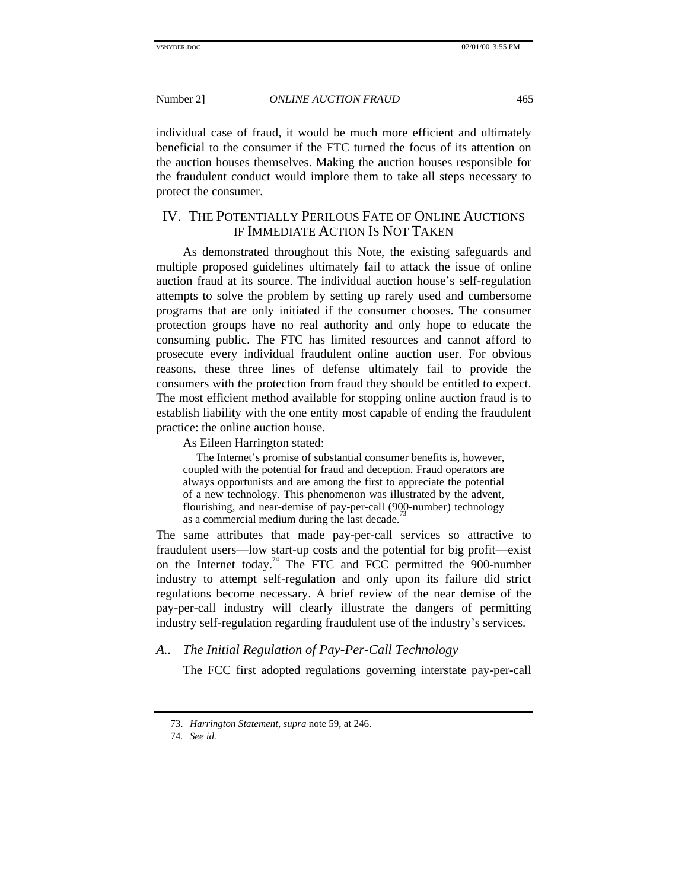individual case of fraud, it would be much more efficient and ultimately beneficial to the consumer if the FTC turned the focus of its attention on the auction houses themselves. Making the auction houses responsible for the fraudulent conduct would implore them to take all steps necessary to protect the consumer.

# IV. THE POTENTIALLY PERILOUS FATE OF ONLINE AUCTIONS IF IMMEDIATE ACTION IS NOT TAKEN

As demonstrated throughout this Note, the existing safeguards and multiple proposed guidelines ultimately fail to attack the issue of online auction fraud at its source. The individual auction house's self-regulation attempts to solve the problem by setting up rarely used and cumbersome programs that are only initiated if the consumer chooses. The consumer protection groups have no real authority and only hope to educate the consuming public. The FTC has limited resources and cannot afford to prosecute every individual fraudulent online auction user. For obvious reasons, these three lines of defense ultimately fail to provide the consumers with the protection from fraud they should be entitled to expect. The most efficient method available for stopping online auction fraud is to establish liability with the one entity most capable of ending the fraudulent practice: the online auction house.

As Eileen Harrington stated:

The Internet's promise of substantial consumer benefits is, however, coupled with the potential for fraud and deception. Fraud operators are always opportunists and are among the first to appreciate the potential of a new technology. This phenomenon was illustrated by the advent, flourishing, and near-demise of pay-per-call (900-number) technology as a commercial medium during the last decade.

The same attributes that made pay-per-call services so attractive to fraudulent users—low start-up costs and the potential for big profit—exist on the Internet today.<sup>74</sup> The FTC and FCC permitted the 900-number industry to attempt self-regulation and only upon its failure did strict regulations become necessary. A brief review of the near demise of the pay-per-call industry will clearly illustrate the dangers of permitting industry self-regulation regarding fraudulent use of the industry's services.

# *A.. The Initial Regulation of Pay-Per-Call Technology*

The FCC first adopted regulations governing interstate pay-per-call

<sup>73.</sup> *Harrington Statement*, *supra* note 59, at 246.

<sup>74</sup>*. See id.*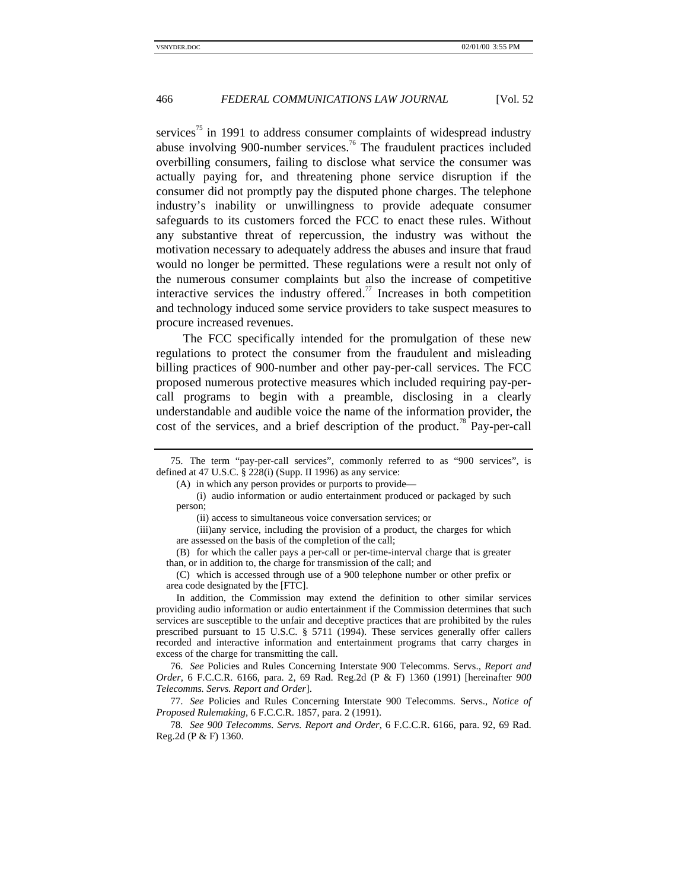services<sup>75</sup> in 1991 to address consumer complaints of widespread industry abuse involving 900-number services.<sup>76</sup> The fraudulent practices included overbilling consumers, failing to disclose what service the consumer was actually paying for, and threatening phone service disruption if the consumer did not promptly pay the disputed phone charges. The telephone industry's inability or unwillingness to provide adequate consumer safeguards to its customers forced the FCC to enact these rules. Without any substantive threat of repercussion, the industry was without the motivation necessary to adequately address the abuses and insure that fraud would no longer be permitted. These regulations were a result not only of the numerous consumer complaints but also the increase of competitive interactive services the industry offered.<sup>77</sup> Increases in both competition and technology induced some service providers to take suspect measures to procure increased revenues.

The FCC specifically intended for the promulgation of these new regulations to protect the consumer from the fraudulent and misleading billing practices of 900-number and other pay-per-call services. The FCC proposed numerous protective measures which included requiring pay-percall programs to begin with a preamble, disclosing in a clearly understandable and audible voice the name of the information provider, the cost of the services, and a brief description of the product.<sup>78</sup> Pay-per-call

In addition, the Commission may extend the definition to other similar services providing audio information or audio entertainment if the Commission determines that such services are susceptible to the unfair and deceptive practices that are prohibited by the rules prescribed pursuant to 15 U.S.C. § 5711 (1994). These services generally offer callers recorded and interactive information and entertainment programs that carry charges in excess of the charge for transmitting the call.

76. *See* Policies and Rules Concerning Interstate 900 Telecomms. Servs., *Report and Order*, 6 F.C.C.R. 6166, para. 2, 69 Rad. Reg.2d (P & F) 1360 (1991) [hereinafter *900 Telecomms. Servs. Report and Order*].

77. *See* Policies and Rules Concerning Interstate 900 Telecomms. Servs., *Notice of Proposed Rulemaking*, 6 F.C.C.R. 1857, para. 2 (1991).

78*. See 900 Telecomms. Servs. Report and Order*, 6 F.C.C.R. 6166, para. 92, 69 Rad. Reg.2d (P & F) 1360.

<sup>75.</sup> The term "pay-per-call services", commonly referred to as "900 services", is defined at 47 U.S.C. § 228(i) (Supp. II 1996) as any service:

<sup>(</sup>A) in which any person provides or purports to provide—

<sup>(</sup>i) audio information or audio entertainment produced or packaged by such person;

<sup>(</sup>ii) access to simultaneous voice conversation services; or

<sup>(</sup>iii)any service, including the provision of a product, the charges for which are assessed on the basis of the completion of the call;

<sup>(</sup>B) for which the caller pays a per-call or per-time-interval charge that is greater than, or in addition to, the charge for transmission of the call; and

<sup>(</sup>C) which is accessed through use of a 900 telephone number or other prefix or area code designated by the [FTC].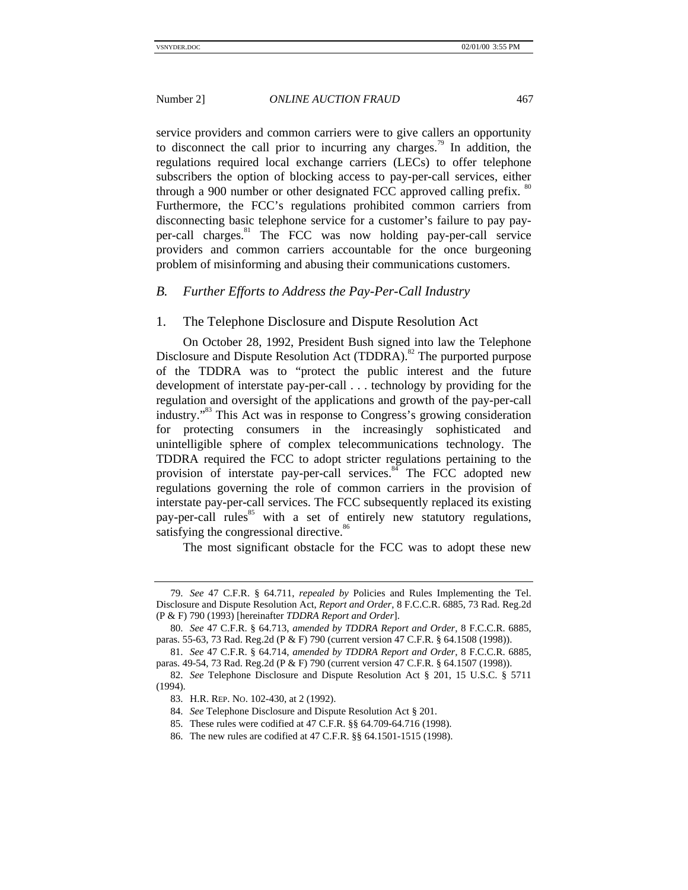service providers and common carriers were to give callers an opportunity to disconnect the call prior to incurring any charges.<sup>79</sup> In addition, the regulations required local exchange carriers (LECs) to offer telephone subscribers the option of blocking access to pay-per-call services, either through a 900 number or other designated FCC approved calling prefix. <sup>80</sup> Furthermore, the FCC's regulations prohibited common carriers from disconnecting basic telephone service for a customer's failure to pay payper-call charges.<sup>81</sup> The FCC was now holding pay-per-call service providers and common carriers accountable for the once burgeoning problem of misinforming and abusing their communications customers.

#### *B. Further Efforts to Address the Pay-Per-Call Industry*

#### 1. The Telephone Disclosure and Dispute Resolution Act

On October 28, 1992, President Bush signed into law the Telephone Disclosure and Dispute Resolution Act (TDDRA).<sup>82</sup> The purported purpose of the TDDRA was to "protect the public interest and the future development of interstate pay-per-call . . . technology by providing for the regulation and oversight of the applications and growth of the pay-per-call industry."<sup>83</sup> This Act was in response to Congress's growing consideration for protecting consumers in the increasingly sophisticated and unintelligible sphere of complex telecommunications technology. The TDDRA required the FCC to adopt stricter regulations pertaining to the provision of interstate pay-per-call services.<sup>84</sup> The FCC adopted new regulations governing the role of common carriers in the provision of interstate pay-per-call services. The FCC subsequently replaced its existing pay-per-call rules<sup>85</sup> with a set of entirely new statutory regulations, satisfying the congressional directive.<sup>86</sup>

The most significant obstacle for the FCC was to adopt these new

<sup>79.</sup> *See* 47 C.F.R. § 64.711, *repealed by* Policies and Rules Implementing the Tel. Disclosure and Dispute Resolution Act, *Report and Order*, 8 F.C.C.R. 6885, 73 Rad. Reg.2d (P & F) 790 (1993) [hereinafter *TDDRA Report and Order*].

<sup>80.</sup> *See* 47 C.F.R. § 64.713, *amended by TDDRA Report and Order*, 8 F.C.C.R. 6885, paras. 55-63, 73 Rad. Reg.2d (P & F) 790 (current version 47 C.F.R. § 64.1508 (1998)).

<sup>81.</sup> *See* 47 C.F.R. § 64.714, *amended by TDDRA Report and Order*, 8 F.C.C.R. 6885, paras. 49-54, 73 Rad. Reg.2d (P & F) 790 (current version 47 C.F.R. § 64.1507 (1998)).

<sup>82.</sup> *See* Telephone Disclosure and Dispute Resolution Act § 201, 15 U.S.C. § 5711 (1994).

<sup>83.</sup> H.R. REP. NO. 102-430, at 2 (1992).

<sup>84.</sup> *See* Telephone Disclosure and Dispute Resolution Act § 201.

<sup>85.</sup> These rules were codified at 47 C.F.R. §§ 64.709-64.716 (1998).

<sup>86.</sup> The new rules are codified at 47 C.F.R. §§ 64.1501-1515 (1998).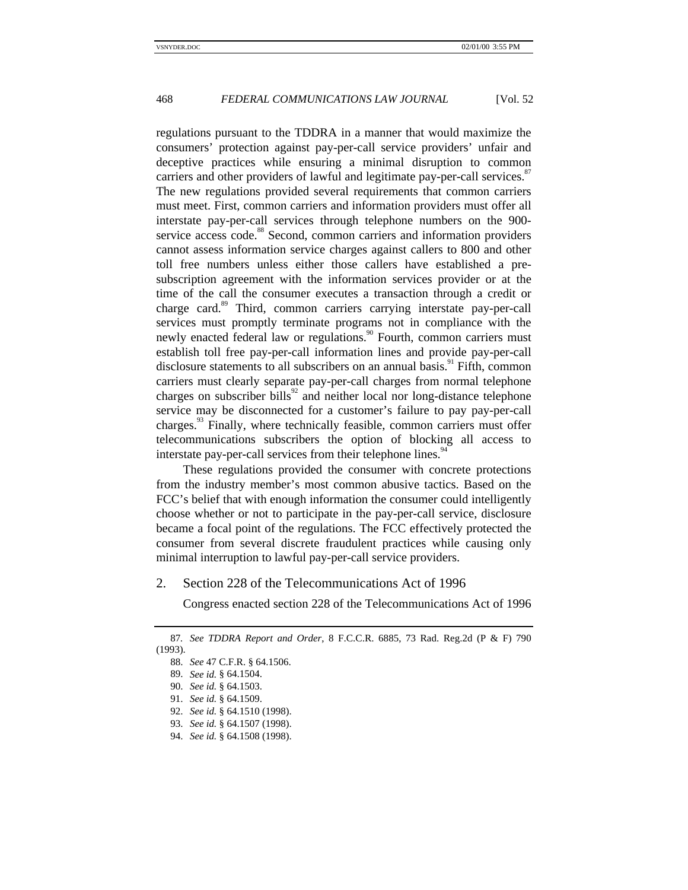regulations pursuant to the TDDRA in a manner that would maximize the consumers' protection against pay-per-call service providers' unfair and deceptive practices while ensuring a minimal disruption to common carriers and other providers of lawful and legitimate pay-per-call services.<sup>87</sup> The new regulations provided several requirements that common carriers must meet. First, common carriers and information providers must offer all interstate pay-per-call services through telephone numbers on the 900 service access code.<sup>88</sup> Second, common carriers and information providers cannot assess information service charges against callers to 800 and other toll free numbers unless either those callers have established a presubscription agreement with the information services provider or at the time of the call the consumer executes a transaction through a credit or charge card.<sup>89</sup> Third, common carriers carrying interstate pay-per-call services must promptly terminate programs not in compliance with the newly enacted federal law or regulations.<sup>90</sup> Fourth, common carriers must establish toll free pay-per-call information lines and provide pay-per-call disclosure statements to all subscribers on an annual basis.<sup>91</sup> Fifth, common carriers must clearly separate pay-per-call charges from normal telephone charges on subscriber bills $^{92}$  and neither local nor long-distance telephone service may be disconnected for a customer's failure to pay pay-per-call charges.<sup>33</sup> Finally, where technically feasible, common carriers must offer telecommunications subscribers the option of blocking all access to interstate pay-per-call services from their telephone lines.<sup>94</sup>

These regulations provided the consumer with concrete protections from the industry member's most common abusive tactics. Based on the FCC's belief that with enough information the consumer could intelligently choose whether or not to participate in the pay-per-call service, disclosure became a focal point of the regulations. The FCC effectively protected the consumer from several discrete fraudulent practices while causing only minimal interruption to lawful pay-per-call service providers.

#### 2. Section 228 of the Telecommunications Act of 1996

Congress enacted section 228 of the Telecommunications Act of 1996

<sup>87</sup>*. See TDDRA Report and Order*, 8 F.C.C.R. 6885, 73 Rad. Reg.2d (P & F) 790 (1993).

<sup>88.</sup> *See* 47 C.F.R. § 64.1506.

<sup>89.</sup> *See id.* § 64.1504.

<sup>90.</sup> *See id.* § 64.1503.

<sup>91.</sup> *See id.* § 64.1509.

<sup>92.</sup> *See id.* § 64.1510 (1998).

<sup>93.</sup> *See id.* § 64.1507 (1998).

<sup>94.</sup> *See id.* § 64.1508 (1998).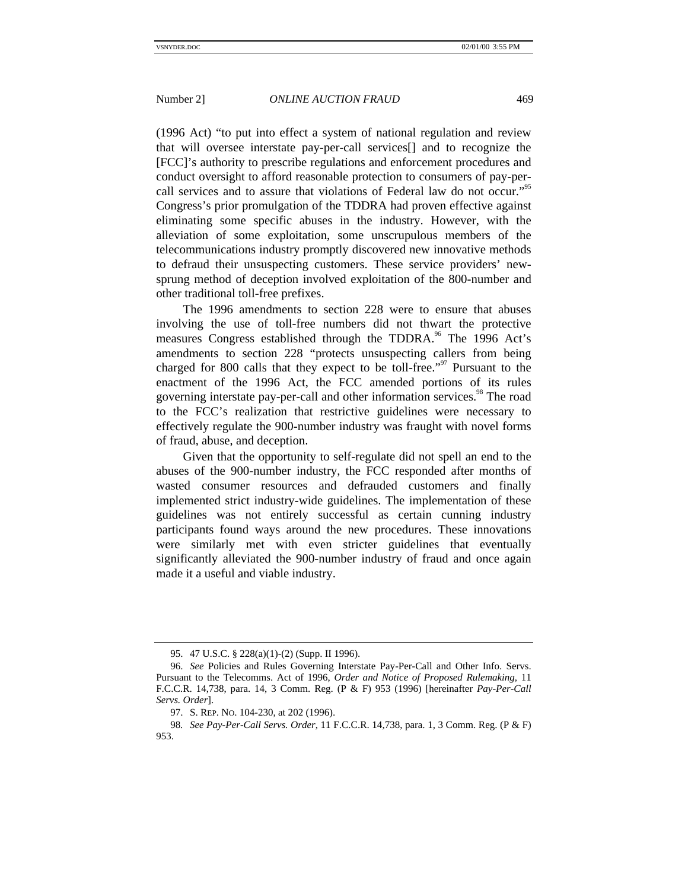(1996 Act) "to put into effect a system of national regulation and review that will oversee interstate pay-per-call services[] and to recognize the [FCC]'s authority to prescribe regulations and enforcement procedures and conduct oversight to afford reasonable protection to consumers of pay-percall services and to assure that violations of Federal law do not occur."<sup>95</sup> Congress's prior promulgation of the TDDRA had proven effective against eliminating some specific abuses in the industry. However, with the alleviation of some exploitation, some unscrupulous members of the telecommunications industry promptly discovered new innovative methods to defraud their unsuspecting customers. These service providers' newsprung method of deception involved exploitation of the 800-number and other traditional toll-free prefixes.

The 1996 amendments to section 228 were to ensure that abuses involving the use of toll-free numbers did not thwart the protective measures Congress established through the TDDRA.<sup>96</sup> The 1996 Act's amendments to section 228 "protects unsuspecting callers from being charged for 800 calls that they expect to be toll-free."<sup>97</sup> Pursuant to the enactment of the 1996 Act, the FCC amended portions of its rules governing interstate pay-per-call and other information services.<sup>98</sup> The road to the FCC's realization that restrictive guidelines were necessary to effectively regulate the 900-number industry was fraught with novel forms of fraud, abuse, and deception.

Given that the opportunity to self-regulate did not spell an end to the abuses of the 900-number industry, the FCC responded after months of wasted consumer resources and defrauded customers and finally implemented strict industry-wide guidelines. The implementation of these guidelines was not entirely successful as certain cunning industry participants found ways around the new procedures. These innovations were similarly met with even stricter guidelines that eventually significantly alleviated the 900-number industry of fraud and once again made it a useful and viable industry.

<sup>95. 47</sup> U.S.C. § 228(a)(1)-(2) (Supp. II 1996).

<sup>96.</sup> *See* Policies and Rules Governing Interstate Pay-Per-Call and Other Info. Servs. Pursuant to the Telecomms. Act of 1996, *Order and Notice of Proposed Rulemaking*, 11 F.C.C.R. 14,738, para. 14, 3 Comm. Reg. (P & F) 953 (1996) [hereinafter *Pay-Per-Call Servs. Order*].

<sup>97.</sup> S. REP. NO. 104-230, at 202 (1996).

<sup>98</sup>*. See Pay-Per-Call Servs. Order*, 11 F.C.C.R. 14,738, para. 1, 3 Comm. Reg. (P & F) 953.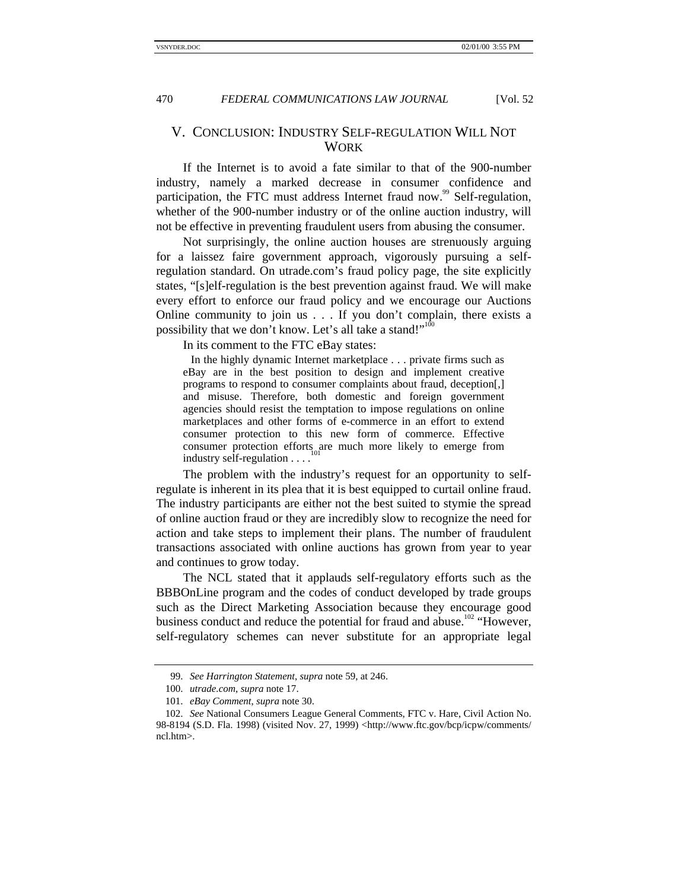# V. CONCLUSION: INDUSTRY SELF-REGULATION WILL NOT **WORK**

If the Internet is to avoid a fate similar to that of the 900-number industry, namely a marked decrease in consumer confidence and participation, the FTC must address Internet fraud now.<sup>99</sup> Self-regulation, whether of the 900-number industry or of the online auction industry, will not be effective in preventing fraudulent users from abusing the consumer.

Not surprisingly, the online auction houses are strenuously arguing for a laissez faire government approach, vigorously pursuing a selfregulation standard. On utrade.com's fraud policy page, the site explicitly states, "[s]elf-regulation is the best prevention against fraud. We will make every effort to enforce our fraud policy and we encourage our Auctions Online community to join us . . . If you don't complain, there exists a possibility that we don't know. Let's all take a stand!"<sup>100</sup>

In its comment to the FTC eBay states:

In the highly dynamic Internet marketplace . . . private firms such as eBay are in the best position to design and implement creative programs to respond to consumer complaints about fraud, deception[,] and misuse. Therefore, both domestic and foreign government agencies should resist the temptation to impose regulations on online marketplaces and other forms of e-commerce in an effort to extend consumer protection to this new form of commerce. Effective consumer protection efforts are much more likely to emerge from industry self-regulation . . . .

The problem with the industry's request for an opportunity to selfregulate is inherent in its plea that it is best equipped to curtail online fraud. The industry participants are either not the best suited to stymie the spread of online auction fraud or they are incredibly slow to recognize the need for action and take steps to implement their plans. The number of fraudulent transactions associated with online auctions has grown from year to year and continues to grow today.

The NCL stated that it applauds self-regulatory efforts such as the BBBOnLine program and the codes of conduct developed by trade groups such as the Direct Marketing Association because they encourage good business conduct and reduce the potential for fraud and abuse.<sup>102</sup> "However, self-regulatory schemes can never substitute for an appropriate legal

<sup>99.</sup> *See Harrington Statement*, *supra* note 59, at 246.

<sup>100.</sup> *utrade.com*, *supra* note 17.

<sup>101.</sup> *eBay Comment*, *supra* note 30.

<sup>102.</sup> *See* National Consumers League General Comments, FTC v. Hare, Civil Action No. 98-8194 (S.D. Fla. 1998) (visited Nov. 27, 1999) <http://www.ftc.gov/bcp/icpw/comments/ ncl.htm>.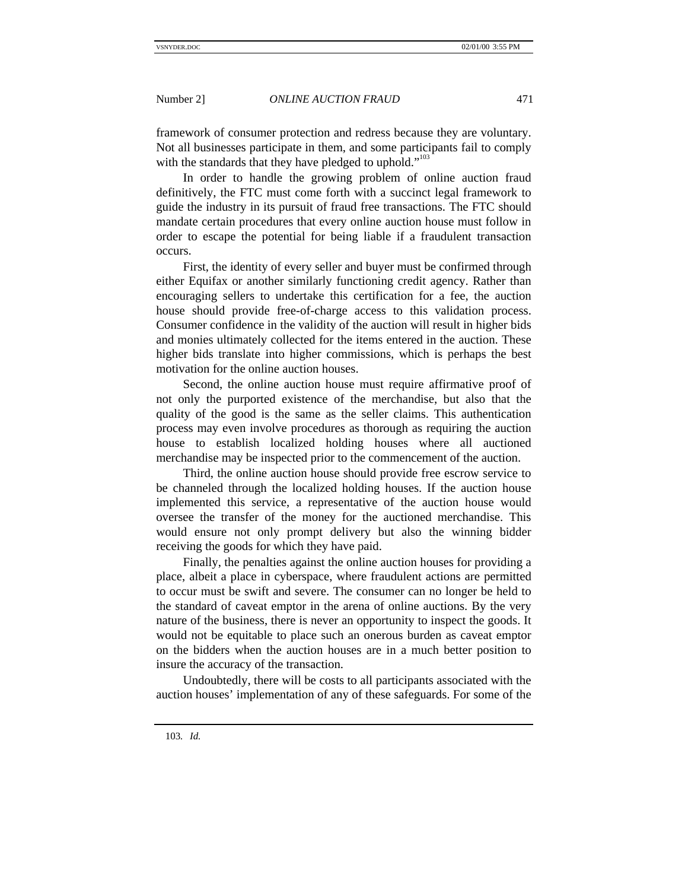framework of consumer protection and redress because they are voluntary. Not all businesses participate in them, and some participants fail to comply with the standards that they have pledged to uphold."<sup>103</sup>

In order to handle the growing problem of online auction fraud definitively, the FTC must come forth with a succinct legal framework to guide the industry in its pursuit of fraud free transactions. The FTC should mandate certain procedures that every online auction house must follow in order to escape the potential for being liable if a fraudulent transaction occurs.

First, the identity of every seller and buyer must be confirmed through either Equifax or another similarly functioning credit agency. Rather than encouraging sellers to undertake this certification for a fee, the auction house should provide free-of-charge access to this validation process. Consumer confidence in the validity of the auction will result in higher bids and monies ultimately collected for the items entered in the auction. These higher bids translate into higher commissions, which is perhaps the best motivation for the online auction houses.

Second, the online auction house must require affirmative proof of not only the purported existence of the merchandise, but also that the quality of the good is the same as the seller claims. This authentication process may even involve procedures as thorough as requiring the auction house to establish localized holding houses where all auctioned merchandise may be inspected prior to the commencement of the auction.

Third, the online auction house should provide free escrow service to be channeled through the localized holding houses. If the auction house implemented this service, a representative of the auction house would oversee the transfer of the money for the auctioned merchandise. This would ensure not only prompt delivery but also the winning bidder receiving the goods for which they have paid.

Finally, the penalties against the online auction houses for providing a place, albeit a place in cyberspace, where fraudulent actions are permitted to occur must be swift and severe. The consumer can no longer be held to the standard of caveat emptor in the arena of online auctions. By the very nature of the business, there is never an opportunity to inspect the goods. It would not be equitable to place such an onerous burden as caveat emptor on the bidders when the auction houses are in a much better position to insure the accuracy of the transaction.

Undoubtedly, there will be costs to all participants associated with the auction houses' implementation of any of these safeguards. For some of the